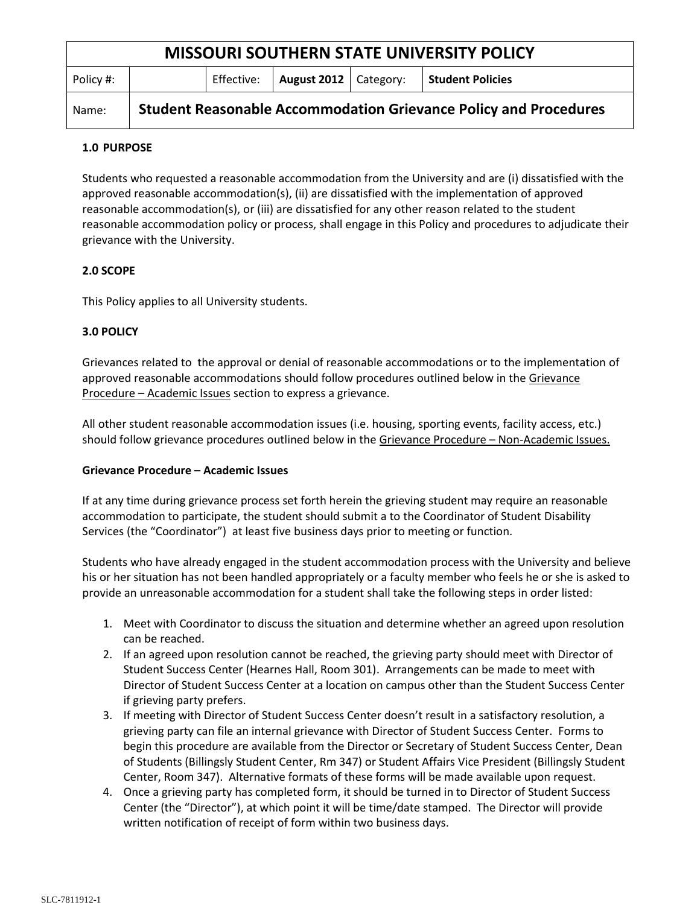| <b>MISSOURI SOUTHERN STATE UNIVERSITY POLICY</b> |                                                                         |            |                         |  |                         |
|--------------------------------------------------|-------------------------------------------------------------------------|------------|-------------------------|--|-------------------------|
| Policy #:                                        |                                                                         | Effective: | August 2012   Category: |  | <b>Student Policies</b> |
| Name:                                            | <b>Student Reasonable Accommodation Grievance Policy and Procedures</b> |            |                         |  |                         |

### **1.0 PURPOSE**

Students who requested a reasonable accommodation from the University and are (i) dissatisfied with the approved reasonable accommodation(s), (ii) are dissatisfied with the implementation of approved reasonable accommodation(s), or (iii) are dissatisfied for any other reason related to the student reasonable accommodation policy or process, shall engage in this Policy and procedures to adjudicate their grievance with the University.

## **2.0 SCOPE**

This Policy applies to all University students.

## **3.0 POLICY**

Grievances related to the approval or denial of reasonable accommodations or to the implementation of approved reasonable accommodations should follow procedures outlined below in the Grievance Procedure – Academic Issues section to express a grievance.

All other student reasonable accommodation issues (i.e. housing, sporting events, facility access, etc.) should follow grievance procedures outlined below in the Grievance Procedure - Non-Academic Issues.

### **Grievance Procedure – Academic Issues**

If at any time during grievance process set forth herein the grieving student may require an reasonable accommodation to participate, the student should submit a to the Coordinator of Student Disability Services (the "Coordinator") at least five business days prior to meeting or function.

Students who have already engaged in the student accommodation process with the University and believe his or her situation has not been handled appropriately or a faculty member who feels he or she is asked to provide an unreasonable accommodation for a student shall take the following steps in order listed:

- 1. Meet with Coordinator to discuss the situation and determine whether an agreed upon resolution can be reached.
- 2. If an agreed upon resolution cannot be reached, the grieving party should meet with Director of Student Success Center (Hearnes Hall, Room 301). Arrangements can be made to meet with Director of Student Success Center at a location on campus other than the Student Success Center if grieving party prefers.
- 3. If meeting with Director of Student Success Center doesn't result in a satisfactory resolution, a grieving party can file an internal grievance with Director of Student Success Center. Forms to begin this procedure are available from the Director or Secretary of Student Success Center, Dean of Students (Billingsly Student Center, Rm 347) or Student Affairs Vice President (Billingsly Student Center, Room 347). Alternative formats of these forms will be made available upon request.
- 4. Once a grieving party has completed form, it should be turned in to Director of Student Success Center (the "Director"), at which point it will be time/date stamped. The Director will provide written notification of receipt of form within two business days.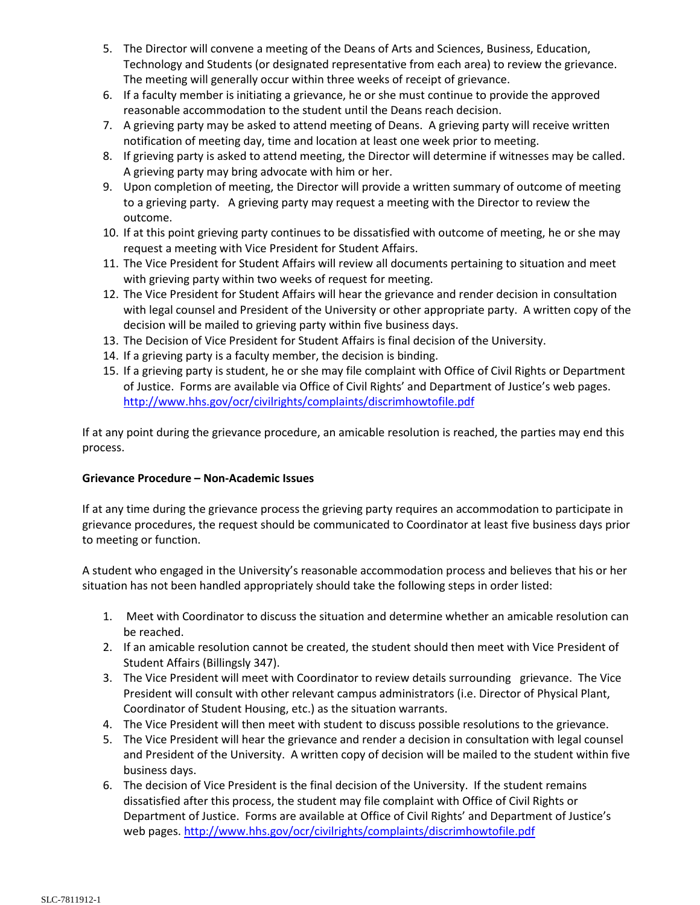- 5. The Director will convene a meeting of the Deans of Arts and Sciences, Business, Education, Technology and Students (or designated representative from each area) to review the grievance. The meeting will generally occur within three weeks of receipt of grievance.
- 6. If a faculty member is initiating a grievance, he or she must continue to provide the approved reasonable accommodation to the student until the Deans reach decision.
- 7. A grieving party may be asked to attend meeting of Deans. A grieving party will receive written notification of meeting day, time and location at least one week prior to meeting.
- 8. If grieving party is asked to attend meeting, the Director will determine if witnesses may be called. A grieving party may bring advocate with him or her.
- 9. Upon completion of meeting, the Director will provide a written summary of outcome of meeting to a grieving party. A grieving party may request a meeting with the Director to review the outcome.
- 10. If at this point grieving party continues to be dissatisfied with outcome of meeting, he or she may request a meeting with Vice President for Student Affairs.
- 11. The Vice President for Student Affairs will review all documents pertaining to situation and meet with grieving party within two weeks of request for meeting.
- 12. The Vice President for Student Affairs will hear the grievance and render decision in consultation with legal counsel and President of the University or other appropriate party. A written copy of the decision will be mailed to grieving party within five business days.
- 13. The Decision of Vice President for Student Affairs is final decision of the University.
- 14. If a grieving party is a faculty member, the decision is binding.
- 15. If a grieving party is student, he or she may file complaint with Office of Civil Rights or Department of Justice. Forms are available via Office of Civil Rights' and Department of Justice's web pages. <http://www.hhs.gov/ocr/civilrights/complaints/discrimhowtofile.pdf>

If at any point during the grievance procedure, an amicable resolution is reached, the parties may end this process.

# **Grievance Procedure – Non-Academic Issues**

If at any time during the grievance process the grieving party requires an accommodation to participate in grievance procedures, the request should be communicated to Coordinator at least five business days prior to meeting or function.

A student who engaged in the University's reasonable accommodation process and believes that his or her situation has not been handled appropriately should take the following steps in order listed:

- 1. Meet with Coordinator to discuss the situation and determine whether an amicable resolution can be reached.
- 2. If an amicable resolution cannot be created, the student should then meet with Vice President of Student Affairs (Billingsly 347).
- 3. The Vice President will meet with Coordinator to review details surrounding grievance. The Vice President will consult with other relevant campus administrators (i.e. Director of Physical Plant, Coordinator of Student Housing, etc.) as the situation warrants.
- 4. The Vice President will then meet with student to discuss possible resolutions to the grievance.
- 5. The Vice President will hear the grievance and render a decision in consultation with legal counsel and President of the University. A written copy of decision will be mailed to the student within five business days.
- 6. The decision of Vice President is the final decision of the University. If the student remains dissatisfied after this process, the student may file complaint with Office of Civil Rights or Department of Justice. Forms are available at Office of Civil Rights' and Department of Justice's web pages. <http://www.hhs.gov/ocr/civilrights/complaints/discrimhowtofile.pdf>